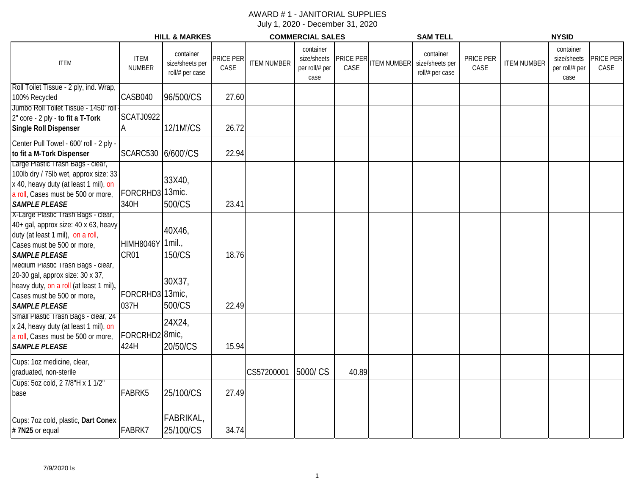|                                                                                                                                                                                   |                                    | <b>HILL &amp; MARKES</b>                        |                   |                    | <b>COMMERCIAL SALES</b>             |                               |                    | <b>SAM TELL</b>                                 |                   |                    | <b>NYSID</b>                                       |                   |
|-----------------------------------------------------------------------------------------------------------------------------------------------------------------------------------|------------------------------------|-------------------------------------------------|-------------------|--------------------|-------------------------------------|-------------------------------|--------------------|-------------------------------------------------|-------------------|--------------------|----------------------------------------------------|-------------------|
| <b>ITEM</b>                                                                                                                                                                       | <b>ITEM</b><br><b>NUMBER</b>       | container<br>size/sheets per<br>roll/# per case | PRICE PER<br>CASE | <b>ITEM NUMBER</b> | container<br>per roll/# per<br>case | size/sheets PRICE PER<br>CASE | <b>ITEM NUMBER</b> | container<br>size/sheets per<br>roll/# per case | PRICE PER<br>CASE | <b>ITEM NUMBER</b> | container<br>size/sheets<br>per roll/# per<br>case | PRICE PER<br>CASE |
| Roll Toilet Tissue - 2 ply, ind. Wrap,<br>100% Recycled                                                                                                                           | CASB040                            | 96/500/CS                                       | 27.60             |                    |                                     |                               |                    |                                                 |                   |                    |                                                    |                   |
| Jumbo Roll Toilet Tissue - 1450' roll<br>2" core - 2 ply - to fit a T-Tork<br><b>Single Roll Dispenser</b>                                                                        | <b>SCATJ0922</b>                   | 12/1M'/CS                                       | 26.72             |                    |                                     |                               |                    |                                                 |                   |                    |                                                    |                   |
| Center Pull Towel - 600' roll - 2 ply -<br>to fit a M-Tork Dispenser                                                                                                              | SCARC530 6/600'/CS                 |                                                 | 22.94             |                    |                                     |                               |                    |                                                 |                   |                    |                                                    |                   |
| Large Plastic Trash Bags - clear,<br>100lb dry / 75lb wet, approx size: 33<br>x 40, heavy duty (at least 1 mil), on<br>a roll, Cases must be 500 or more,<br><b>SAMPLE PLEASE</b> | FORCRHD3 13mic.<br>340H            | 33X40,<br>500/CS                                | 23.41             |                    |                                     |                               |                    |                                                 |                   |                    |                                                    |                   |
| X-Large Plastic Trash Bags - clear,<br>40+ gal, approx size: 40 x 63, heavy<br>duty (at least 1 mil), on a roll,<br>Cases must be 500 or more,<br><b>SAMPLE PLEASE</b>            | HIMH8046Y 1mil.,<br>CR01           | 40X46,<br>150/CS                                | 18.76             |                    |                                     |                               |                    |                                                 |                   |                    |                                                    |                   |
| Medium Plastic Trash Bags - clear,<br>20-30 gal, approx size: 30 x 37,<br>heavy duty, on a roll (at least 1 mil),<br>Cases must be 500 or more,<br><b>SAMPLE PLEASE</b>           | FORCRHD3<br>037H                   | 30X37,<br>13mic,<br>500/CS                      | 22.49             |                    |                                     |                               |                    |                                                 |                   |                    |                                                    |                   |
| Small Plastic Trash Bags - clear, 24<br>x 24, heavy duty (at least 1 mil), on<br>a roll, Cases must be 500 or more,<br><b>SAMPLE PLEASE</b>                                       | FORCRHD2 <sup>8mic</sup> ,<br>424H | 24X24,<br>20/50/CS                              | 15.94             |                    |                                     |                               |                    |                                                 |                   |                    |                                                    |                   |
| Cups: 1oz medicine, clear,<br>graduated, non-sterile                                                                                                                              |                                    |                                                 |                   | CS57200001         | 5000/CS                             | 40.89                         |                    |                                                 |                   |                    |                                                    |                   |
| Cups: 5oz cold, 2 7/8"H x 1 1/2"<br>base                                                                                                                                          | FABRK5                             | 25/100/CS                                       | 27.49             |                    |                                     |                               |                    |                                                 |                   |                    |                                                    |                   |
| Cups: 7oz cold, plastic, Dart Conex<br>#7N25 or equal                                                                                                                             | FABRK7                             | FABRIKAL,<br>25/100/CS                          | 34.74             |                    |                                     |                               |                    |                                                 |                   |                    |                                                    |                   |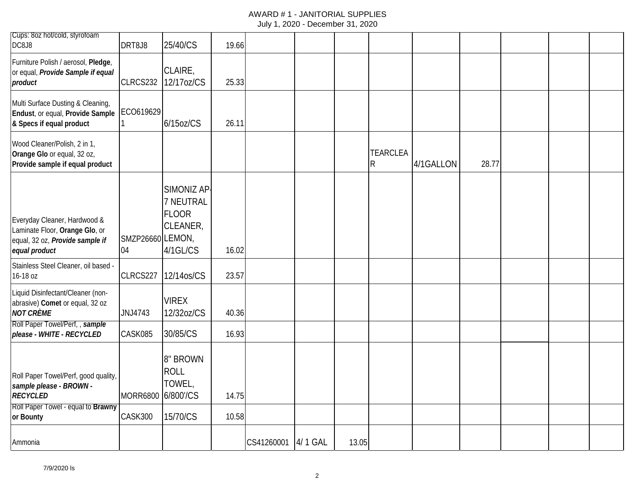| Cups: 8oz hot/cold, styrofoam                                                                                      |                        |                                                                  |       |            |          |       |                                 |           |       |  |  |
|--------------------------------------------------------------------------------------------------------------------|------------------------|------------------------------------------------------------------|-------|------------|----------|-------|---------------------------------|-----------|-------|--|--|
| DC8J8                                                                                                              | DRT8J8                 | 25/40/CS                                                         | 19.66 |            |          |       |                                 |           |       |  |  |
| Furniture Polish / aerosol, Pledge,<br>or equal, Provide Sample if equal<br>product                                | CLRCS232               | CLAIRE,<br>12/17oz/CS                                            | 25.33 |            |          |       |                                 |           |       |  |  |
| Multi Surface Dusting & Cleaning,<br>Endust, or equal, Provide Sample<br>& Specs if equal product                  | ECO619629              | $6/15$ oz/CS                                                     | 26.11 |            |          |       |                                 |           |       |  |  |
| Wood Cleaner/Polish, 2 in 1,<br>Orange Glo or equal, 32 oz,<br>Provide sample if equal product                     |                        |                                                                  |       |            |          |       | <b>TEARCLEA</b><br>$\mathsf{R}$ | 4/1GALLON | 28.77 |  |  |
| Everyday Cleaner, Hardwood &<br>Laminate Floor, Orange Glo, or<br>equal, 32 oz, Provide sample if<br>equal product | SMZP26660 LEMON,<br>04 | SIMONIZ AP-<br>7 NEUTRAL<br><b>FLOOR</b><br>CLEANER,<br>4/1GL/CS | 16.02 |            |          |       |                                 |           |       |  |  |
| Stainless Steel Cleaner, oil based -<br>16-18 oz                                                                   | CLRCS227               | 12/14os/CS                                                       | 23.57 |            |          |       |                                 |           |       |  |  |
| Liquid Disinfectant/Cleaner (non-<br>abrasive) Comet or equal, 32 oz<br><b>NOT CRÈME</b>                           | JNJ4743                | <b>VIREX</b><br>12/32oz/CS                                       | 40.36 |            |          |       |                                 |           |       |  |  |
| Roll Paper Towel/Perf,, sample<br>please - WHITE - RECYCLED                                                        | CASK085                | 30/85/CS                                                         | 16.93 |            |          |       |                                 |           |       |  |  |
| Roll Paper Towel/Perf, good quality,<br>sample please - BROWN -<br><b>RECYCLED</b>                                 | <b>MORR6800</b>        | 8" BROWN<br><b>ROLL</b><br>TOWEL,<br>6/800'/CS                   | 14.75 |            |          |       |                                 |           |       |  |  |
| Roll Paper Towel - equal to Brawny<br>or Bounty                                                                    | CASK300                | 15/70/CS                                                         | 10.58 |            |          |       |                                 |           |       |  |  |
| Ammonia                                                                                                            |                        |                                                                  |       | CS41260001 | 4/ 1 GAL | 13.05 |                                 |           |       |  |  |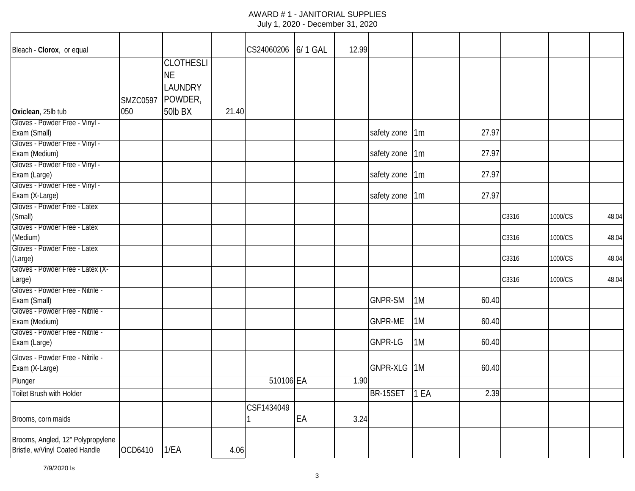| Bleach - Clorox, or equal         |                 |                  |       | CS24060206 6/1 GAL |    | 12.99 |                |    |       |       |         |       |
|-----------------------------------|-----------------|------------------|-------|--------------------|----|-------|----------------|----|-------|-------|---------|-------|
|                                   |                 | <b>CLOTHESLI</b> |       |                    |    |       |                |    |       |       |         |       |
|                                   |                 | <b>NE</b>        |       |                    |    |       |                |    |       |       |         |       |
|                                   |                 | <b>LAUNDRY</b>   |       |                    |    |       |                |    |       |       |         |       |
|                                   |                 |                  |       |                    |    |       |                |    |       |       |         |       |
|                                   | <b>SMZC0597</b> | POWDER,          |       |                    |    |       |                |    |       |       |         |       |
| Oxiclean, 25lb tub                | 050             | 50lb BX          | 21.40 |                    |    |       |                |    |       |       |         |       |
| Gloves - Powder Free - Vinyl -    |                 |                  |       |                    |    |       |                |    |       |       |         |       |
| Exam (Small)                      |                 |                  |       |                    |    |       | safety zone 1m |    | 27.97 |       |         |       |
| Gloves - Powder Free - Vinyl -    |                 |                  |       |                    |    |       |                |    |       |       |         |       |
| Exam (Medium)                     |                 |                  |       |                    |    |       | safety zone    | 1m | 27.97 |       |         |       |
| Gloves - Powder Free - Vinyl -    |                 |                  |       |                    |    |       |                |    |       |       |         |       |
| Exam (Large)                      |                 |                  |       |                    |    |       | safety zone 1m |    | 27.97 |       |         |       |
| Gloves - Powder Free - Vinyl -    |                 |                  |       |                    |    |       |                |    |       |       |         |       |
| Exam (X-Large)                    |                 |                  |       |                    |    |       | safety zone 1m |    | 27.97 |       |         |       |
| Gloves - Powder Free - Latex      |                 |                  |       |                    |    |       |                |    |       |       |         |       |
| (Small)                           |                 |                  |       |                    |    |       |                |    |       | C3316 | 1000/CS | 48.04 |
| Gloves - Powder Free - Latex      |                 |                  |       |                    |    |       |                |    |       |       |         |       |
| (Medium)                          |                 |                  |       |                    |    |       |                |    |       | C3316 | 1000/CS | 48.04 |
| Gloves - Powder Free - Latex      |                 |                  |       |                    |    |       |                |    |       |       |         |       |
| (Large)                           |                 |                  |       |                    |    |       |                |    |       | C3316 | 1000/CS | 48.04 |
| Gloves - Powder Free - Latex (X-  |                 |                  |       |                    |    |       |                |    |       |       |         |       |
| Large)                            |                 |                  |       |                    |    |       |                |    |       | C3316 | 1000/CS | 48.04 |
| Gloves - Powder Free - Nitrile -  |                 |                  |       |                    |    |       |                |    |       |       |         |       |
| Exam (Small)                      |                 |                  |       |                    |    |       | <b>GNPR-SM</b> | 1M | 60.40 |       |         |       |
| Gloves - Powder Free - Nitrile -  |                 |                  |       |                    |    |       |                |    |       |       |         |       |
| Exam (Medium)                     |                 |                  |       |                    |    |       | <b>GNPR-ME</b> | 1M | 60.40 |       |         |       |
| Gloves - Powder Free - Nitrile -  |                 |                  |       |                    |    |       |                |    |       |       |         |       |
| Exam (Large)                      |                 |                  |       |                    |    |       | <b>GNPR-LG</b> | 1M | 60.40 |       |         |       |
| Gloves - Powder Free - Nitrile -  |                 |                  |       |                    |    |       |                |    |       |       |         |       |
| Exam (X-Large)                    |                 |                  |       |                    |    |       | GNPR-XLG 1M    |    | 60.40 |       |         |       |
| Plunger                           |                 |                  |       | 510106 EA          |    | 1.90  |                |    |       |       |         |       |
| Toilet Brush with Holder          |                 |                  |       |                    |    |       | BR-15SET 1 EA  |    | 2.39  |       |         |       |
|                                   |                 |                  |       |                    |    |       |                |    |       |       |         |       |
|                                   |                 |                  |       | CSF1434049         |    |       |                |    |       |       |         |       |
| Brooms, corn maids                |                 |                  |       |                    | EA | 3.24  |                |    |       |       |         |       |
| Brooms, Angled, 12" Polypropylene |                 |                  |       |                    |    |       |                |    |       |       |         |       |
| Bristle, w/Vinyl Coated Handle    | OCD6410         | 1/EA             | 4.06  |                    |    |       |                |    |       |       |         |       |
|                                   |                 |                  |       |                    |    |       |                |    |       |       |         |       |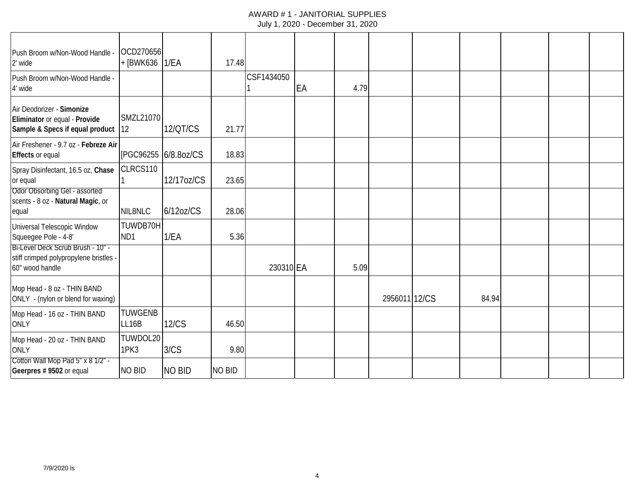| Push Broom w/Non-Wood Handle -<br>2' wide                                                      | OCD270656<br>+ [BWK636   1/EA |                      | 17.48  |            |    |      |               |       |  |  |
|------------------------------------------------------------------------------------------------|-------------------------------|----------------------|--------|------------|----|------|---------------|-------|--|--|
| Push Broom w/Non-Wood Handle -<br>4' wide                                                      |                               |                      |        | CSF1434050 | EA | 4.79 |               |       |  |  |
| Air Deodorizer - Simonize<br>Eliminator or equal - Provide<br>Sample & Specs if equal product  | <b>SMZL21070</b><br>12        | 12/QT/CS             | 21.77  |            |    |      |               |       |  |  |
| Air Freshener - 9.7 oz - Febreze Air<br><b>Effects or equal</b>                                |                               | [PGC96255 6/8.8oz/CS | 18.83  |            |    |      |               |       |  |  |
| Spray Disinfectant, 16.5 oz, Chase<br>or equal                                                 | CLRCS110                      | 12/17oz/CS           | 23.65  |            |    |      |               |       |  |  |
| <b>Odor Obsorbing Gel - assorted</b><br>scents - 8 oz - Natural Magic, or<br>equal             | NIL8NLC                       | $6/12$ oz/CS         | 28.06  |            |    |      |               |       |  |  |
| Universal Telescopic Window<br>Squeegee Pole - 4-8'                                            | TUWDB70H<br>ND1               | 1/EA                 | 5.36   |            |    |      |               |       |  |  |
| Bi-Level Deck Scrub Brush - 10" -<br>stiff crimped polypropylene bristles -<br>60" wood handle |                               |                      |        | 230310 EA  |    | 5.09 |               |       |  |  |
| Mop Head - 8 oz - THIN BAND<br>ONLY - (nylon or blend for waxing)                              |                               |                      |        |            |    |      | 2956011 12/CS | 84.94 |  |  |
| Mop Head - 16 oz - THIN BAND<br><b>ONLY</b>                                                    | <b>TUWGENB</b><br>LL16B       | <b>12/CS</b>         | 46.50  |            |    |      |               |       |  |  |
| Mop Head - 20 oz - THIN BAND<br><b>ONLY</b>                                                    | TUWDOL20<br>1PK3              | 3/CS                 | 9.80   |            |    |      |               |       |  |  |
| Cotton Wall Mop Pad 5" x 8 1/2" -<br>Geerpres # 9502 or equal                                  | NO BID                        | <b>NO BID</b>        | NO BID |            |    |      |               |       |  |  |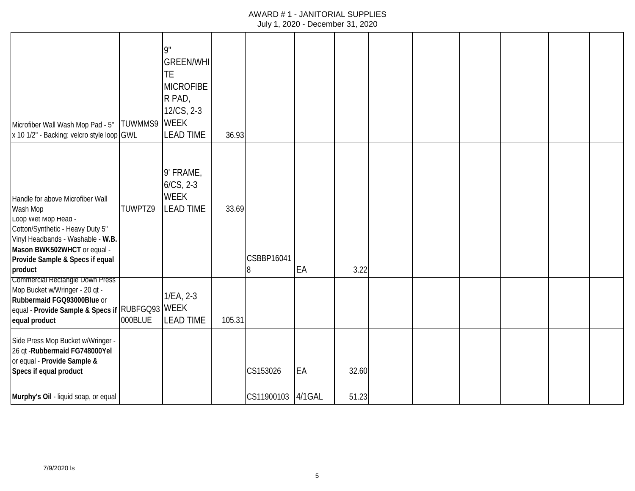## AWARD # 1 - JANITORIAL SUPPLIES

July 1, 2020 - December 31, 2020

| Microfiber Wall Wash Mop Pad - 5"<br>x 10 1/2" - Backing: velcro style loop GWL                                                                                           | TUWMMS9 | 9"<br><b>GREEN/WHI</b><br><b>TE</b><br><b>MICROFIBE</b><br>R PAD,<br>$12/CS$ , 2-3<br><b>WEEK</b><br><b>LEAD TIME</b> | 36.93  |                  |        |       |  |  |  |
|---------------------------------------------------------------------------------------------------------------------------------------------------------------------------|---------|-----------------------------------------------------------------------------------------------------------------------|--------|------------------|--------|-------|--|--|--|
| Handle for above Microfiber Wall<br>Wash Mop                                                                                                                              | TUWPTZ9 | 9' FRAME,<br>$6/CS$ , 2-3<br><b>WEEK</b><br><b>LEAD TIME</b>                                                          | 33.69  |                  |        |       |  |  |  |
| Loop Wet Mop Head -<br>Cotton/Synthetic - Heavy Duty 5"<br>Vinyl Headbands - Washable - W.B.<br>Mason BWK502WHCT or equal -<br>Provide Sample & Specs if equal<br>product |         |                                                                                                                       |        | CSBBP16041<br>18 | EA     | 3.22  |  |  |  |
| Commercial Rectangle Down Press<br>Mop Bucket w/Wringer - 20 qt -<br>Rubbermaid FGQ93000Blue or<br>equal - Provide Sample & Specs if RUBFGQ93 WEEK<br>equal product       | 000BLUE | $1/EA$ , $2-3$<br><b>LEAD TIME</b>                                                                                    | 105.31 |                  |        |       |  |  |  |
| Side Press Mop Bucket w/Wringer -<br>26 qt - Rubbermaid FG748000Yel<br>or equal - Provide Sample &<br>Specs if equal product                                              |         |                                                                                                                       |        | CS153026         | EA     | 32.60 |  |  |  |
| Murphy's Oil - liquid soap, or equal                                                                                                                                      |         |                                                                                                                       |        | CS11900103       | 4/1GAL | 51.23 |  |  |  |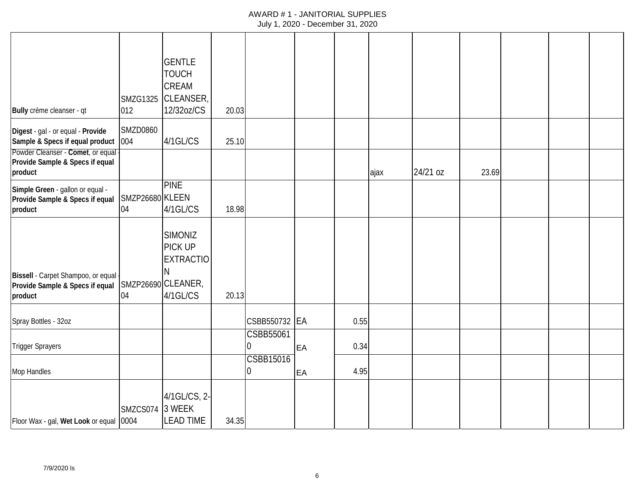| Bully crème cleanser - qt                                                        | <b>SMZG1325</b><br>012 | <b>GENTLE</b><br><b>TOUCH</b><br>CREAM<br>CLEANSER,<br>12/32oz/CS               | 20.03 |                       |    |      |      |          |       |  |  |
|----------------------------------------------------------------------------------|------------------------|---------------------------------------------------------------------------------|-------|-----------------------|----|------|------|----------|-------|--|--|
| Digest - gal - or equal - Provide<br>Sample & Specs if equal product             | <b>SMZD0860</b><br>004 | 4/1GL/CS                                                                        | 25.10 |                       |    |      |      |          |       |  |  |
| Powder Cleanser - Comet, or equal<br>Provide Sample & Specs if equal<br>product  |                        |                                                                                 |       |                       |    |      | ајах | 24/21 oz | 23.69 |  |  |
| Simple Green - gallon or equal -<br>Provide Sample & Specs if equal<br>product   | SMZP26680 KLEEN<br>04  | <b>PINE</b><br>4/1GL/CS                                                         | 18.98 |                       |    |      |      |          |       |  |  |
| Bissell - Carpet Shampoo, or equal<br>Provide Sample & Specs if equal<br>product | 04                     | <b>SIMONIZ</b><br>PICK UP<br><b>EXTRACTIO</b><br>SMZP26690 CLEANER,<br>4/1GL/CS | 20.13 |                       |    |      |      |          |       |  |  |
| Spray Bottles - 32oz                                                             |                        |                                                                                 |       | CSBB550732 EA         |    | 0.55 |      |          |       |  |  |
| <b>Trigger Sprayers</b>                                                          |                        |                                                                                 |       | CSBB55061<br>0        | EA | 0.34 |      |          |       |  |  |
| Mop Handles                                                                      |                        |                                                                                 |       | <b>CSBB15016</b><br>0 | EA | 4.95 |      |          |       |  |  |
| Floor Wax - gal, Wet Look or equal                                               | SMZCS074<br>0004       | 4/1GL/CS, 2-<br>3 WEEK<br><b>LEAD TIME</b>                                      | 34.35 |                       |    |      |      |          |       |  |  |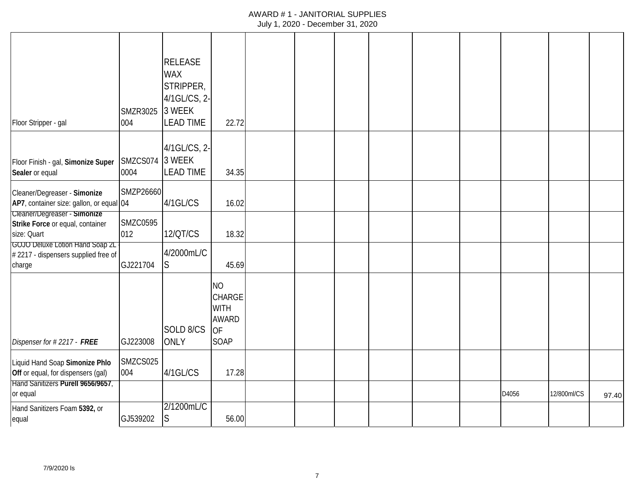# AWARD # 1 - JANITORIAL SUPPLIES

|  | July 1, 2020 - December 31, 2020 |  |  |
|--|----------------------------------|--|--|
|--|----------------------------------|--|--|

| Floor Stripper - gal                                                                    | <b>SMZR3025</b><br>004 | <b>RELEASE</b><br><b>WAX</b><br>STRIPPER,<br>4/1GL/CS, 2-<br>3 WEEK<br><b>LEAD TIME</b> | 22.72                                                                          |  |  |  |       |             |       |
|-----------------------------------------------------------------------------------------|------------------------|-----------------------------------------------------------------------------------------|--------------------------------------------------------------------------------|--|--|--|-------|-------------|-------|
| Floor Finish - gal, Simonize Super<br>Sealer or equal                                   | SMZCS074<br>0004       | 4/1GL/CS, 2-<br>3 WEEK<br><b>LEAD TIME</b>                                              | 34.35                                                                          |  |  |  |       |             |       |
| Cleaner/Degreaser - Simonize<br>AP7, container size: gallon, or equal 04                | SMZP26660              | 4/1GL/CS                                                                                | 16.02                                                                          |  |  |  |       |             |       |
| Cleaner/Degreaser - Simonize<br>Strike Force or equal, container<br>size: Quart         | <b>SMZC0595</b><br>012 | <b>12/QT/CS</b>                                                                         | 18.32                                                                          |  |  |  |       |             |       |
| <b>GOJO Deluxe Lotion Hand Soap 2L</b><br>#2217 - dispensers supplied free of<br>charge | GJ221704               | 4/2000mL/C<br>S                                                                         | 45.69                                                                          |  |  |  |       |             |       |
| Dispenser for #2217 - FREE                                                              | GJ223008               | SOLD 8/CS<br><b>ONLY</b>                                                                | <b>NO</b><br><b>CHARGE</b><br><b>WITH</b><br><b>AWARD</b><br><b>OF</b><br>SOAP |  |  |  |       |             |       |
| Liquid Hand Soap Simonize Phlo<br>Off or equal, for dispensers (gal)                    | SMZCS025<br>004        | 4/1GL/CS                                                                                | 17.28                                                                          |  |  |  |       |             |       |
| Hand Sanitizers Purell 9656/9657,<br>or equal                                           |                        |                                                                                         |                                                                                |  |  |  | D4056 | 12/800ml/CS | 97.40 |
| Hand Sanitizers Foam 5392, or<br>equal                                                  | GJ539202               | 2/1200mL/C<br>S                                                                         | 56.00                                                                          |  |  |  |       |             |       |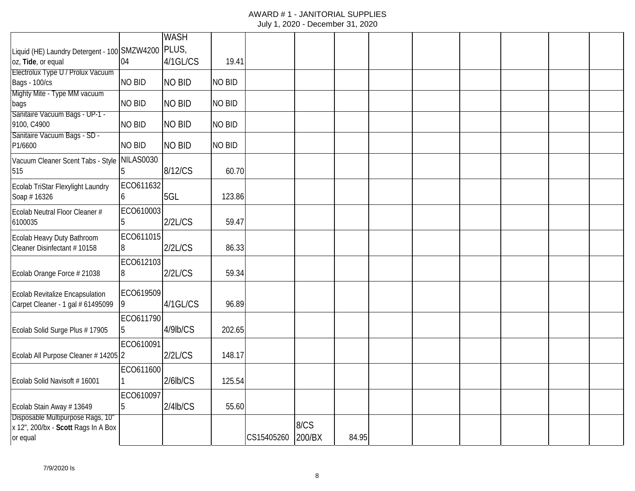|                                                                      |               | <b>WASH</b>   |               |            |        |       |  |  |  |
|----------------------------------------------------------------------|---------------|---------------|---------------|------------|--------|-------|--|--|--|
| Liquid (HE) Laundry Detergent - 100 SMZW4200                         |               | PLUS,         |               |            |        |       |  |  |  |
| oz, Tide, or equal                                                   | 04            | 4/1GL/CS      | 19.41         |            |        |       |  |  |  |
| Electrolux Type U / Prolux Vacuum                                    |               |               |               |            |        |       |  |  |  |
| Bags - 100/cs                                                        | <b>NO BID</b> | <b>NO BID</b> | <b>NO BID</b> |            |        |       |  |  |  |
| Mighty Mite - Type MM vacuum<br>bags                                 | <b>NO BID</b> | <b>NO BID</b> | <b>NO BID</b> |            |        |       |  |  |  |
| Sanitaire Vacuum Bags - UP-1 -                                       |               |               |               |            |        |       |  |  |  |
| 9100, C4900                                                          | <b>NO BID</b> | <b>NO BID</b> | <b>NO BID</b> |            |        |       |  |  |  |
| Sanitaire Vacuum Bags - SD -                                         |               |               |               |            |        |       |  |  |  |
| P1/6600                                                              | <b>NO BID</b> | <b>NO BID</b> | <b>NO BID</b> |            |        |       |  |  |  |
| Vacuum Cleaner Scent Tabs - Style                                    | NILAS0030     |               |               |            |        |       |  |  |  |
| 515                                                                  |               | 8/12/CS       | 60.70         |            |        |       |  |  |  |
| Ecolab TriStar Flexylight Laundry                                    | ECO611632     |               |               |            |        |       |  |  |  |
| Soap #16326                                                          | h             | 5GL           | 123.86        |            |        |       |  |  |  |
| Ecolab Neutral Floor Cleaner #                                       | ECO610003     |               |               |            |        |       |  |  |  |
| 6100035                                                              |               | 2/2L/CS       | 59.47         |            |        |       |  |  |  |
| Ecolab Heavy Duty Bathroom                                           | ECO611015     |               |               |            |        |       |  |  |  |
| Cleaner Disinfectant # 10158                                         | 8             | 2/2L/CS       | 86.33         |            |        |       |  |  |  |
|                                                                      | ECO612103     |               |               |            |        |       |  |  |  |
| Ecolab Orange Force # 21038                                          | 8             | 2/2L/CS       | 59.34         |            |        |       |  |  |  |
|                                                                      | ECO619509     |               |               |            |        |       |  |  |  |
| Ecolab Revitalize Encapsulation<br>Carpet Cleaner - 1 gal # 61495099 |               | 4/1GL/CS      | 96.89         |            |        |       |  |  |  |
|                                                                      |               |               |               |            |        |       |  |  |  |
|                                                                      | ECO611790     |               |               |            |        |       |  |  |  |
| Ecolab Solid Surge Plus #17905                                       | b.            | 4/9lb/CS      | 202.65        |            |        |       |  |  |  |
|                                                                      | ECO610091     |               |               |            |        |       |  |  |  |
| Ecolab All Purpose Cleaner #14205 2                                  |               | 2/2L/CS       | 148.17        |            |        |       |  |  |  |
|                                                                      | ECO611600     |               |               |            |        |       |  |  |  |
| Ecolab Solid Navisoft #16001                                         |               | $2/6$ lb/CS   | 125.54        |            |        |       |  |  |  |
|                                                                      | ECO610097     |               |               |            |        |       |  |  |  |
| Ecolab Stain Away #13649                                             | 5             | $2/4$ lb/CS   | 55.60         |            |        |       |  |  |  |
| Disposable Multipurpose Rags, 10"                                    |               |               |               |            |        |       |  |  |  |
| x 12", 200/bx - Scott Rags In A Box                                  |               |               |               |            | 8/CS   |       |  |  |  |
| or equal                                                             |               |               |               | CS15405260 | 200/BX | 84.95 |  |  |  |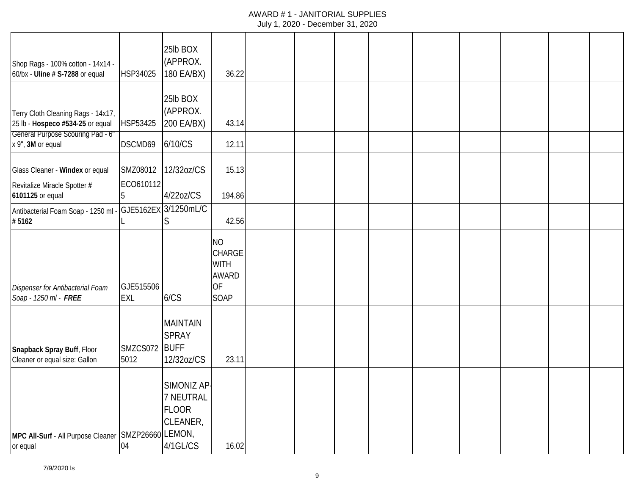| Shop Rags - 100% cotton - 14x14 -<br>60/bx - Uline # S-7288 or equal                                        | HSP34025                | 25lb BOX<br>(APPROX.<br>180 EA/BX)                               | 36.22                                                                          |  |  |  |  |  |
|-------------------------------------------------------------------------------------------------------------|-------------------------|------------------------------------------------------------------|--------------------------------------------------------------------------------|--|--|--|--|--|
| Terry Cloth Cleaning Rags - 14x17,<br>25 lb - Hospeco #534-25 or equal<br>General Purpose Scouring Pad - 6" | HSP53425                | 25lb BOX<br>(APPROX.<br>200 EA/BX)                               | 43.14                                                                          |  |  |  |  |  |
| x 9", 3M or equal                                                                                           | DSCMD69                 | 6/10/CS                                                          | 12.11                                                                          |  |  |  |  |  |
| Glass Cleaner - Windex or equal                                                                             | SMZ08012                | 12/32oz/CS                                                       | 15.13                                                                          |  |  |  |  |  |
| Revitalize Miracle Spotter #<br>6101125 or equal                                                            | ECO610112<br>Ib.        | 4/22oz/CS                                                        | 194.86                                                                         |  |  |  |  |  |
| Antibacterial Foam Soap - 1250 ml -<br>#5162                                                                |                         | GJE5162EX 3/1250mL/C<br>S                                        | 42.56                                                                          |  |  |  |  |  |
| Dispenser for Antibacterial Foam<br>Soap - 1250 ml - FREE                                                   | GJE515506<br><b>EXL</b> | 6/CS                                                             | <b>NO</b><br><b>CHARGE</b><br><b>WITH</b><br><b>AWARD</b><br><b>OF</b><br>SOAP |  |  |  |  |  |
| Snapback Spray Buff, Floor<br>Cleaner or equal size: Gallon                                                 | SMZCS072 BUFF<br>5012   | <b>MAINTAIN</b><br><b>SPRAY</b><br>12/32oz/CS                    | 23.11                                                                          |  |  |  |  |  |
| MPC All-Surf - All Purpose Cleaner SMZP26660 LEMON,<br>or equal                                             | 04                      | SIMONIZ AP-<br>7 NEUTRAL<br><b>FLOOR</b><br>CLEANER,<br>4/1GL/CS | 16.02                                                                          |  |  |  |  |  |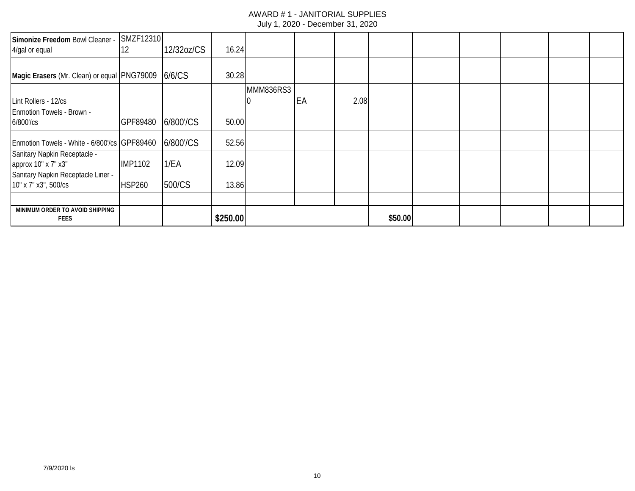| Simonize Freedom Bowl Cleaner -<br>4/gal or equal          | SMZF12310<br>12 | 12/32oz/CS | 16.24    |           |    |      |         |  |  |  |
|------------------------------------------------------------|-----------------|------------|----------|-----------|----|------|---------|--|--|--|
| Magic Erasers (Mr. Clean) or equal PNG79009 6/6/CS         |                 |            | 30.28    |           |    |      |         |  |  |  |
|                                                            |                 |            |          | MMM836RS3 |    |      |         |  |  |  |
| Lint Rollers - 12/cs                                       |                 |            |          |           | EA | 2.08 |         |  |  |  |
| <b>Enmotion Towels - Brown -</b><br>6/800'/cs              | GPF89480        | 6/800'/CS  | 50.00    |           |    |      |         |  |  |  |
| Enmotion Towels - White - 6/800'/cs GPF89460               |                 | 6/800'/CS  | 52.56    |           |    |      |         |  |  |  |
| <b>Sanitary Napkin Receptacle -</b><br>approx 10" x 7" x3" | <b>IMP1102</b>  | 1/EA       | 12.09    |           |    |      |         |  |  |  |
| Sanitary Napkin Receptacle Liner -<br>10" x 7" x3", 500/cs | <b>HSP260</b>   | 500/CS     | 13.86    |           |    |      |         |  |  |  |
|                                                            |                 |            |          |           |    |      |         |  |  |  |
| MINIMUM ORDER TO AVOID SHIPPING<br><b>FEES</b>             |                 |            | \$250.00 |           |    |      | \$50.00 |  |  |  |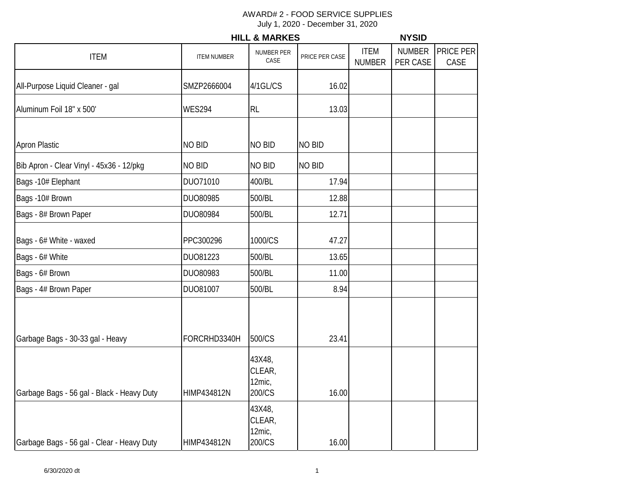|                                            |                    | <b>HILL &amp; MARKES</b>             |                |                              | <b>NYSID</b>              |                   |
|--------------------------------------------|--------------------|--------------------------------------|----------------|------------------------------|---------------------------|-------------------|
| <b>ITEM</b>                                | <b>ITEM NUMBER</b> | NUMBER PER<br>CASE                   | PRICE PER CASE | <b>ITEM</b><br><b>NUMBER</b> | <b>NUMBER</b><br>PER CASE | PRICE PER<br>CASE |
| All-Purpose Liquid Cleaner - gal           | SMZP2666004        | 4/1GL/CS                             | 16.02          |                              |                           |                   |
| Aluminum Foil 18" x 500'                   | <b>WES294</b>      | <b>RL</b>                            | 13.03          |                              |                           |                   |
| <b>Apron Plastic</b>                       | <b>NO BID</b>      | <b>NO BID</b>                        | <b>NO BID</b>  |                              |                           |                   |
| Bib Apron - Clear Vinyl - 45x36 - 12/pkg   | <b>NO BID</b>      | <b>NO BID</b>                        | <b>NO BID</b>  |                              |                           |                   |
| Bags -10# Elephant                         | DUO71010           | 400/BL                               | 17.94          |                              |                           |                   |
| Bags -10# Brown                            | DUO80985           | 500/BL                               | 12.88          |                              |                           |                   |
| Bags - 8# Brown Paper                      | DUO80984           | 500/BL                               | 12.71          |                              |                           |                   |
| Bags - 6# White - waxed                    | PPC300296          | 1000/CS                              | 47.27          |                              |                           |                   |
| Bags - 6# White                            | DU081223           | 500/BL                               | 13.65          |                              |                           |                   |
| Bags - 6# Brown                            | DUO80983           | 500/BL                               | 11.00          |                              |                           |                   |
| Bags - 4# Brown Paper                      | DUO81007           | 500/BL                               | 8.94           |                              |                           |                   |
| Garbage Bags - 30-33 gal - Heavy           | FORCRHD3340H       | 500/CS                               | 23.41          |                              |                           |                   |
| Garbage Bags - 56 gal - Black - Heavy Duty | HIMP434812N        | 43X48,<br>CLEAR,<br>12mic,<br>200/CS | 16.00          |                              |                           |                   |
| Garbage Bags - 56 gal - Clear - Heavy Duty | <b>HIMP434812N</b> | 43X48,<br>CLEAR,<br>12mic,<br>200/CS | 16.00          |                              |                           |                   |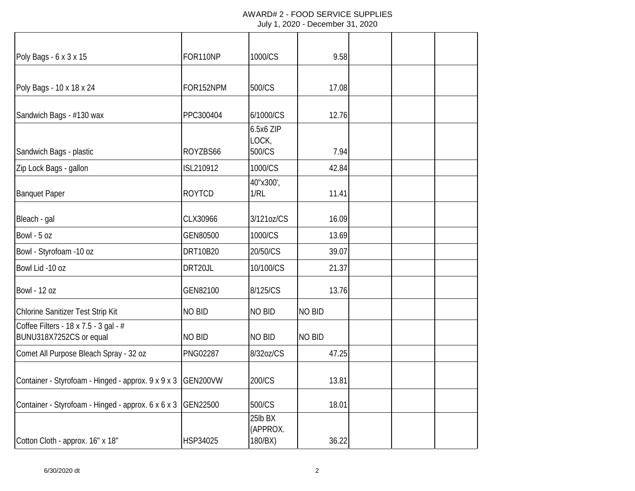| Poly Bags - 6 x 3 x 15                                           | FOR110NP        | 1000/CS                        | 9.58          |  |  |
|------------------------------------------------------------------|-----------------|--------------------------------|---------------|--|--|
|                                                                  |                 |                                |               |  |  |
| Poly Bags - 10 x 18 x 24                                         | FOR152NPM       | 500/CS                         | 17.08         |  |  |
| Sandwich Bags - #130 wax                                         | PPC300404       | 6/1000/CS                      | 12.76         |  |  |
|                                                                  |                 | 6.5x6 ZIP<br>LOCK,             |               |  |  |
| Sandwich Bags - plastic                                          | ROYZBS66        | 500/CS                         | 7.94          |  |  |
| Zip Lock Bags - gallon                                           | ISL210912       | 1000/CS                        | 42.84         |  |  |
| <b>Banquet Paper</b>                                             | <b>ROYTCD</b>   | 40"x300',<br>1/RL              | 11.41         |  |  |
| Bleach - gal                                                     | CLX30966        | 3/121oz/CS                     | 16.09         |  |  |
| Bowl - 5 oz                                                      | GEN80500        | 1000/CS                        | 13.69         |  |  |
| Bowl - Styrofoam -10 oz                                          | <b>DRT10B20</b> | 20/50/CS                       | 39.07         |  |  |
| Bowl Lid -10 oz                                                  | DRT20JL         | 10/100/CS                      | 21.37         |  |  |
| <b>Bowl - 12 oz</b>                                              | GEN82100        | 8/125/CS                       | 13.76         |  |  |
| Chlorine Sanitizer Test Strip Kit                                | <b>NO BID</b>   | <b>NO BID</b>                  | <b>NO BID</b> |  |  |
| Coffee Filters - 18 x 7.5 - 3 gal - #<br>BUNU318X7252CS or equal | <b>NO BID</b>   | <b>NO BID</b>                  | <b>NO BID</b> |  |  |
| Comet All Purpose Bleach Spray - 32 oz                           | <b>PNG02287</b> | 8/32oz/CS                      | 47.25         |  |  |
| Container - Styrofoam - Hinged - approx. 9 x 9 x 3               | GEN200VW        | 200/CS                         | 13.81         |  |  |
| Container - Styrofoam - Hinged - approx. 6 x 6 x 3               | GEN22500        | 500/CS                         | 18.01         |  |  |
| Cotton Cloth - approx. 16" x 18"                                 | HSP34025        | 25lb BX<br>(APPROX.<br>180/BX) | 36.22         |  |  |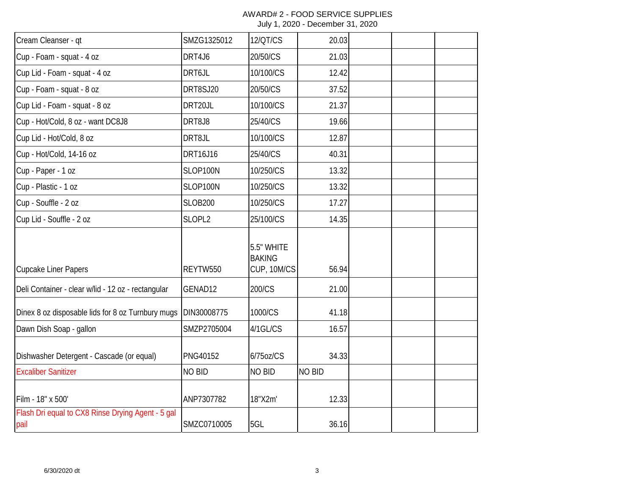| Cream Cleanser - qt                                       | SMZG1325012     | <b>12/QT/CS</b>                            | 20.03         |  |  |
|-----------------------------------------------------------|-----------------|--------------------------------------------|---------------|--|--|
| Cup - Foam - squat - 4 oz                                 | DRT4J6          | 20/50/CS                                   | 21.03         |  |  |
| Cup Lid - Foam - squat - 4 oz                             | DRT6JL          | 10/100/CS                                  | 12.42         |  |  |
| Cup - Foam - squat - 8 oz                                 | DRT8SJ20        | 20/50/CS                                   | 37.52         |  |  |
| Cup Lid - Foam - squat - 8 oz                             | DRT20JL         | 10/100/CS                                  | 21.37         |  |  |
| Cup - Hot/Cold, 8 oz - want DC8J8                         | DRT8J8          | 25/40/CS                                   | 19.66         |  |  |
| Cup Lid - Hot/Cold, 8 oz                                  | DRT8JL          | 10/100/CS                                  | 12.87         |  |  |
| Cup - Hot/Cold, 14-16 oz                                  | DRT16J16        | 25/40/CS                                   | 40.31         |  |  |
| Cup - Paper - 1 oz                                        | SLOP100N        | 10/250/CS                                  | 13.32         |  |  |
| Cup - Plastic - 1 oz                                      | SLOP100N        | 10/250/CS                                  | 13.32         |  |  |
| Cup - Souffle - 2 oz                                      | <b>SLOB200</b>  | 10/250/CS                                  | 17.27         |  |  |
| Cup Lid - Souffle - 2 oz                                  | SLOPL2          | 25/100/CS                                  | 14.35         |  |  |
| <b>Cupcake Liner Papers</b>                               | REYTW550        | 5.5" WHITE<br><b>BAKING</b><br>CUP, 10M/CS | 56.94         |  |  |
| Deli Container - clear w/lid - 12 oz - rectangular        | GENAD12         | 200/CS                                     | 21.00         |  |  |
| Dinex 8 oz disposable lids for 8 oz Turnbury mugs         | DIN30008775     | 1000/CS                                    | 41.18         |  |  |
| Dawn Dish Soap - gallon                                   | SMZP2705004     | 4/1GL/CS                                   | 16.57         |  |  |
| Dishwasher Detergent - Cascade (or equal)                 | <b>PNG40152</b> | 6/75oz/CS                                  | 34.33         |  |  |
| <b>Excaliber Sanitizer</b>                                | <b>NO BID</b>   | <b>NO BID</b>                              | <b>NO BID</b> |  |  |
| Film - 18" x 500'                                         | ANP7307782      | 18"X2m'                                    | 12.33         |  |  |
| Flash Dri equal to CX8 Rinse Drying Agent - 5 gal<br>pail | SMZC0710005     | 5GL                                        | 36.16         |  |  |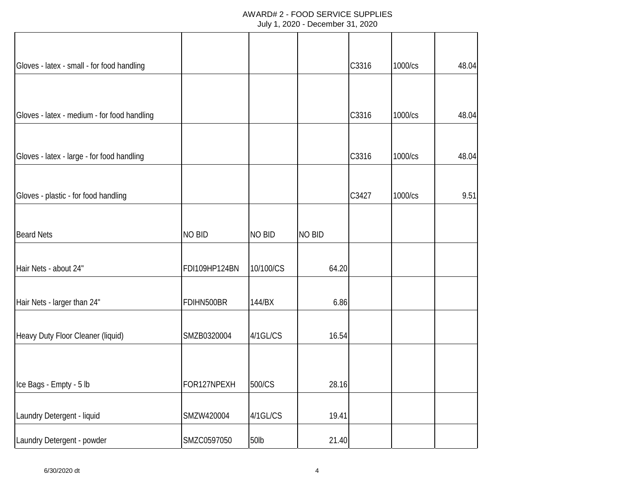| Gloves - latex - small - for food handling  |               |               |               | C3316 | 1000/cs | 48.04 |
|---------------------------------------------|---------------|---------------|---------------|-------|---------|-------|
|                                             |               |               |               |       |         |       |
| Gloves - latex - medium - for food handling |               |               |               | C3316 | 1000/cs | 48.04 |
| Gloves - latex - large - for food handling  |               |               |               | C3316 | 1000/cs | 48.04 |
| Gloves - plastic - for food handling        |               |               |               | C3427 | 1000/cs | 9.51  |
|                                             |               |               |               |       |         |       |
| <b>Beard Nets</b>                           | <b>NO BID</b> | <b>NO BID</b> | <b>NO BID</b> |       |         |       |
| Hair Nets - about 24"                       | FDI109HP124BN | 10/100/CS     | 64.20         |       |         |       |
| Hair Nets - larger than 24"                 | FDIHN500BR    | 144/BX        | 6.86          |       |         |       |
| Heavy Duty Floor Cleaner (liquid)           | SMZB0320004   | 4/1GL/CS      | 16.54         |       |         |       |
| Ice Bags - Empty - 5 lb                     | FOR127NPEXH   | 500/CS        | 28.16         |       |         |       |
| Laundry Detergent - liquid                  | SMZW420004    | 4/1GL/CS      | 19.41         |       |         |       |
| Laundry Detergent - powder                  | SMZC0597050   | 50lb          | 21.40         |       |         |       |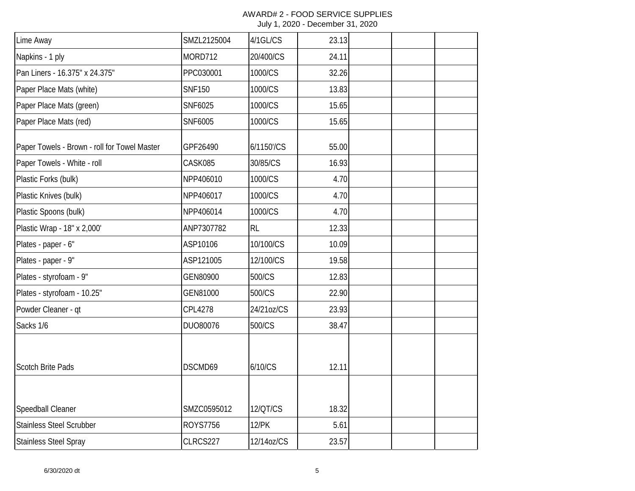| Lime Away                                    | SMZL2125004     | 4/1GL/CS     | 23.13 |  |  |
|----------------------------------------------|-----------------|--------------|-------|--|--|
| Napkins - 1 ply                              | MORD712         | 20/400/CS    | 24.11 |  |  |
| Pan Liners - 16.375" x 24.375"               | PPC030001       | 1000/CS      | 32.26 |  |  |
| Paper Place Mats (white)                     | <b>SNF150</b>   | 1000/CS      | 13.83 |  |  |
| Paper Place Mats (green)                     | SNF6025         | 1000/CS      | 15.65 |  |  |
| Paper Place Mats (red)                       | SNF6005         | 1000/CS      | 15.65 |  |  |
| Paper Towels - Brown - roll for Towel Master | GPF26490        | 6/1150'/CS   | 55.00 |  |  |
| Paper Towels - White - roll                  | CASK085         | 30/85/CS     | 16.93 |  |  |
| Plastic Forks (bulk)                         | NPP406010       | 1000/CS      | 4.70  |  |  |
| Plastic Knives (bulk)                        | NPP406017       | 1000/CS      | 4.70  |  |  |
| Plastic Spoons (bulk)                        | NPP406014       | 1000/CS      | 4.70  |  |  |
| Plastic Wrap - 18" x 2,000'                  | ANP7307782      | <b>RL</b>    | 12.33 |  |  |
| Plates - paper - 6"                          | ASP10106        | 10/100/CS    | 10.09 |  |  |
| Plates - paper - 9"                          | ASP121005       | 12/100/CS    | 19.58 |  |  |
| Plates - styrofoam - 9"                      | GEN80900        | 500/CS       | 12.83 |  |  |
| Plates - styrofoam - 10.25"                  | GEN81000        | 500/CS       | 22.90 |  |  |
| Powder Cleaner - qt                          | <b>CPL4278</b>  | 24/21oz/CS   | 23.93 |  |  |
| Sacks 1/6                                    | DUO80076        | 500/CS       | 38.47 |  |  |
| <b>Scotch Brite Pads</b>                     | DSCMD69         | 6/10/CS      | 12.11 |  |  |
|                                              |                 |              |       |  |  |
| Speedball Cleaner                            | SMZC0595012     | 12/QT/CS     | 18.32 |  |  |
| <b>Stainless Steel Scrubber</b>              | <b>ROYS7756</b> | <b>12/PK</b> | 5.61  |  |  |
| <b>Stainless Steel Spray</b>                 | CLRCS227        | 12/14oz/CS   | 23.57 |  |  |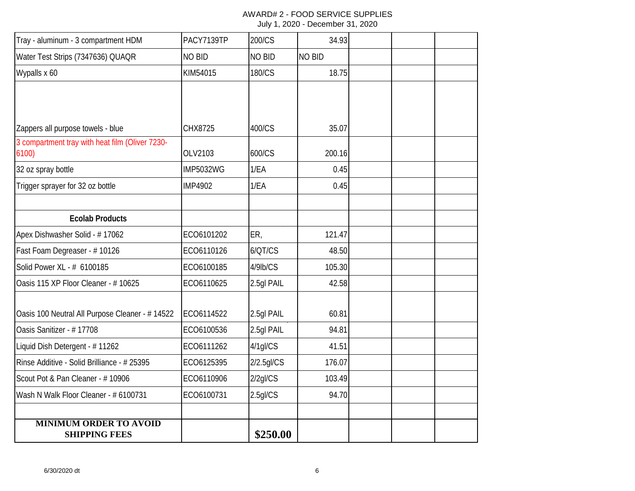## AWARD# 2 - FOOD SERVICE SUPPLIES

| July 1, 2020 - December 31, 2020 |  |  |  |
|----------------------------------|--|--|--|
|----------------------------------|--|--|--|

| Tray - aluminum - 3 compartment HDM                      | PACY7139TP       | 200/CS        | 34.93         |  |  |
|----------------------------------------------------------|------------------|---------------|---------------|--|--|
| Water Test Strips (7347636) QUAQR                        | NO BID           | <b>NO BID</b> | <b>NO BID</b> |  |  |
| Wypalls x 60                                             | KIM54015         | 180/CS        | 18.75         |  |  |
|                                                          |                  |               |               |  |  |
|                                                          |                  |               |               |  |  |
| Zappers all purpose towels - blue                        | CHX8725          | 400/CS        | 35.07         |  |  |
| 3 compartment tray with heat film (Oliver 7230-<br>6100) | OLV2103          | 600/CS        | 200.16        |  |  |
| 32 oz spray bottle                                       | <b>IMP5032WG</b> | 1/EA          | 0.45          |  |  |
| Trigger sprayer for 32 oz bottle                         | <b>IMP4902</b>   | 1/EA          | 0.45          |  |  |
|                                                          |                  |               |               |  |  |
| <b>Ecolab Products</b>                                   |                  |               |               |  |  |
| Apex Dishwasher Solid - #17062                           | ECO6101202       | ER,           | 121.47        |  |  |
| Fast Foam Degreaser - #10126                             | ECO6110126       | 6/QT/CS       | 48.50         |  |  |
| Solid Power XL - # 6100185                               | ECO6100185       | 4/9lb/CS      | 105.30        |  |  |
| Oasis 115 XP Floor Cleaner - # 10625                     | ECO6110625       | 2.5gl PAIL    | 42.58         |  |  |
| Oasis 100 Neutral All Purpose Cleaner - # 14522          | ECO6114522       | 2.5gl PAIL    | 60.81         |  |  |
| Oasis Sanitizer - # 17708                                | ECO6100536       | 2.5gl PAIL    | 94.81         |  |  |
| Liquid Dish Detergent - # 11262                          | ECO6111262       | 4/1gl/CS      | 41.51         |  |  |
| Rinse Additive - Solid Brilliance - # 25395              | ECO6125395       | 2/2.5gl/CS    | 176.07        |  |  |
| Scout Pot & Pan Cleaner - #10906                         | ECO6110906       | $2/2$ gl/CS   | 103.49        |  |  |
| Wash N Walk Floor Cleaner - # 6100731                    | ECO6100731       | $2.5$ gl/CS   | 94.70         |  |  |
|                                                          |                  |               |               |  |  |
| <b>MINIMUM ORDER TO AVOID</b><br><b>SHIPPING FEES</b>    |                  | \$250.00      |               |  |  |